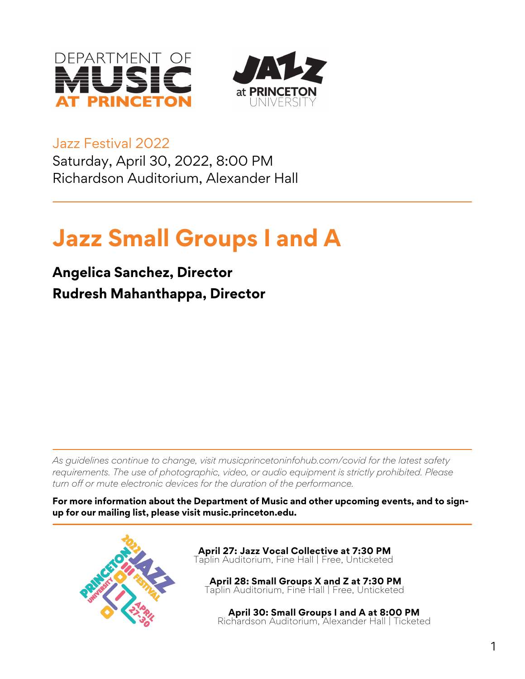



Jazz Festival 2022

Saturday, April 30, 2022, 8:00 PM Richardson Auditorium, Alexander Hall

# **Jazz Small Groups I and A**

## **Angelica Sanchez, Director Rudresh Mahanthappa, Director**

*As guidelines continue to change, visit musicprincetoninfohub.com/covid for the latest safety requirements. The use of photographic, video, or audio equipment is strictly prohibited. Please turn off or mute electronic devices for the duration of the performance.*

**For more information about the Department of Music and other upcoming events, and to signup for our mailing list, please visit music.princeton.edu.**

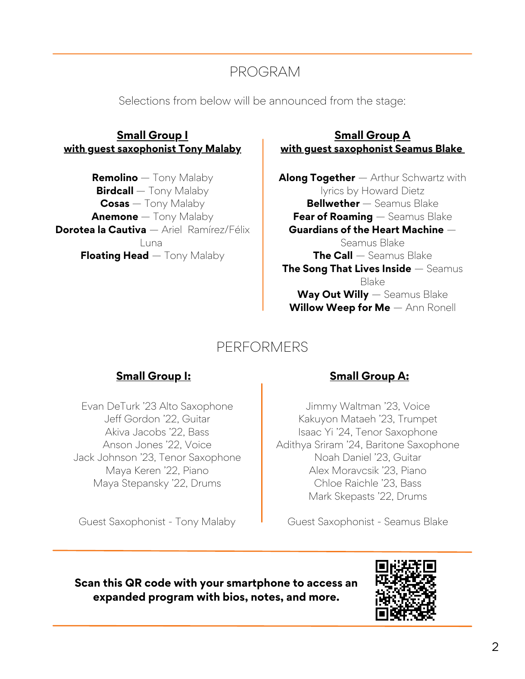### PROGRAM

Selections from below will be announced from the stage:

#### **Small Group I with guest saxophonist Tony Malaby**

**Remolino** — Tony Malaby **Birdcall** — Tony Malaby **Cosas** — Tony Malaby **Anemone** — Tony Malaby **Dorotea la Cautiva** — Ariel Ramírez/Félix Luna **Floating Head** — Tony Malaby

#### **Small Group A with guest saxophonist Seamus Blake**

**Along Together** — Arthur Schwartz with lyrics by Howard Dietz **Bellwether** — Seamus Blake **Fear of Roaming** — Seamus Blake **Guardians of the Heart Machine** — Seamus Blake **The Call** — Seamus Blake **The Song That Lives Inside** — Seamus Blake **Way Out Willy** — Seamus Blake **Willow Weep for Me** — Ann Ronell

### PERFORMERS

Evan DeTurk '23 Alto Saxophone Jeff Gordon '22, Guitar Akiva Jacobs '22, Bass Anson Jones '22, Voice Jack Johnson '23, Tenor Saxophone Maya Keren '22, Piano Maya Stepansky '22, Drums

Guest Saxophonist - Tony Malaby

### **Small Group I: Small Group A:**

Jimmy Waltman '23, Voice Kakuyon Mataeh '23, Trumpet Isaac Yi '24, Tenor Saxophone Adithya Sriram '24, Baritone Saxophone Noah Daniel '23, Guitar Alex Moravcsik '23, Piano Chloe Raichle '23, Bass Mark Skepasts '22, Drums

Guest Saxophonist - Seamus Blake

**Scan this QR code with your smartphone to access an expanded program with bios, notes, and more.**

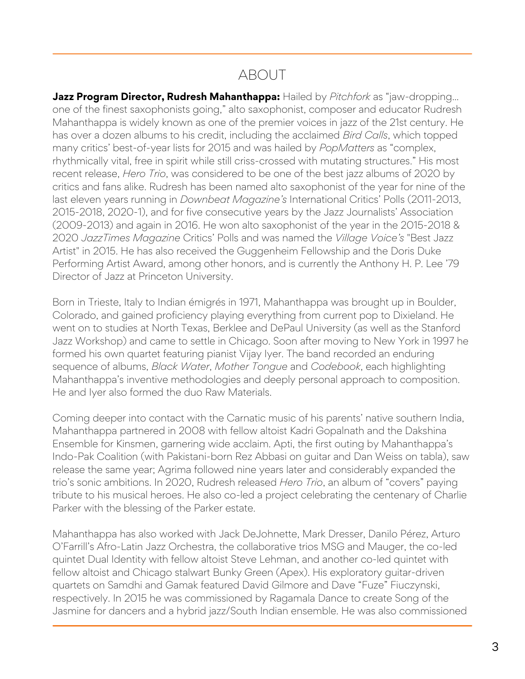### ABOUT

**Jazz Program Director, Rudresh Mahanthappa:** Hailed by *Pitchfork* as "jaw-dropping… one of the finest saxophonists going," alto saxophonist, composer and educator Rudresh Mahanthappa is widely known as one of the premier voices in jazz of the 21st century. He has over a dozen albums to his credit, including the acclaimed *Bird Calls*, which topped many critics' best-of-year lists for 2015 and was hailed by *PopMatters* as "complex, rhythmically vital, free in spirit while still criss-crossed with mutating structures." His most recent release, *Hero Trio*, was considered to be one of the best jazz albums of 2020 by critics and fans alike. Rudresh has been named alto saxophonist of the year for nine of the last eleven years running in *Downbeat Magazine's* International Critics' Polls (2011-2013, 2015-2018, 2020-1), and for five consecutive years by the Jazz Journalists' Association (2009-2013) and again in 2016. He won alto saxophonist of the year in the 2015-2018 & 2020 *JazzTimes Magazine* Critics' Polls and was named the *Village Voice's* "Best Jazz Artist" in 2015. He has also received the Guggenheim Fellowship and the Doris Duke Performing Artist Award, among other honors, and is currently the Anthony H. P. Lee '79 Director of Jazz at Princeton University.

Born in Trieste, Italy to Indian émigrés in 1971, Mahanthappa was brought up in Boulder, Colorado, and gained proficiency playing everything from current pop to Dixieland. He went on to studies at North Texas, Berklee and DePaul University (as well as the Stanford Jazz Workshop) and came to settle in Chicago. Soon after moving to New York in 1997 he formed his own quartet featuring pianist Vijay Iyer. The band recorded an enduring sequence of albums, *Black Water*, *Mother Tongue* and *Codebook*, each highlighting Mahanthappa's inventive methodologies and deeply personal approach to composition. He and Iyer also formed the duo Raw Materials.

Coming deeper into contact with the Carnatic music of his parents' native southern India, Mahanthappa partnered in 2008 with fellow altoist Kadri Gopalnath and the Dakshina Ensemble for Kinsmen, garnering wide acclaim. Apti, the first outing by Mahanthappa's Indo-Pak Coalition (with Pakistani-born Rez Abbasi on guitar and Dan Weiss on tabla), saw release the same year; Agrima followed nine years later and considerably expanded the trio's sonic ambitions. In 2020, Rudresh released *Hero Trio*, an album of "covers" paying tribute to his musical heroes. He also co-led a project celebrating the centenary of Charlie Parker with the blessing of the Parker estate.

Mahanthappa has also worked with Jack DeJohnette, Mark Dresser, Danilo Pérez, Arturo O'Farrill's Afro-Latin Jazz Orchestra, the collaborative trios MSG and Mauger, the co-led quintet Dual Identity with fellow altoist Steve Lehman, and another co-led quintet with fellow altoist and Chicago stalwart Bunky Green (Apex). His exploratory guitar-driven quartets on Samdhi and Gamak featured David Gilmore and Dave "Fuze" Fiuczynski, respectively. In 2015 he was commissioned by Ragamala Dance to create Song of the Jasmine for dancers and a hybrid jazz/South Indian ensemble. He was also commissioned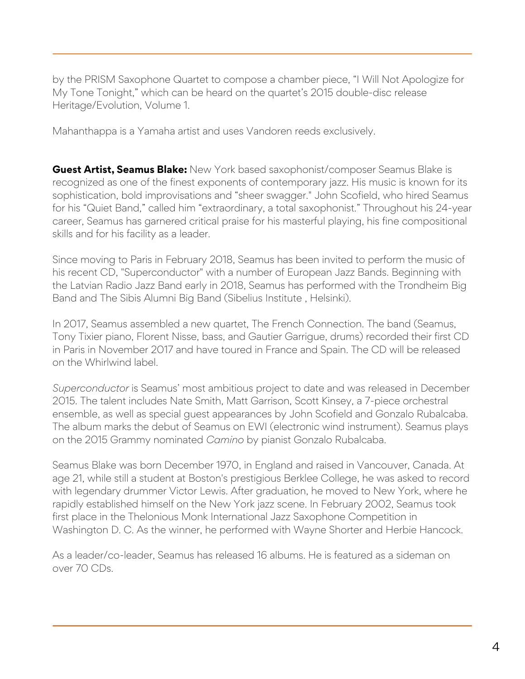by the PRISM Saxophone Quartet to compose a chamber piece, "I Will Not Apologize for My Tone Tonight," which can be heard on the quartet's 2015 double-disc release Heritage/Evolution, Volume 1.

Mahanthappa is a Yamaha artist and uses Vandoren reeds exclusively.

**Guest Artist, Seamus Blake:** New York based saxophonist/composer Seamus Blake is recognized as one of the finest exponents of contemporary jazz. His music is known for its sophistication, bold improvisations and "sheer swagger." John Scofield, who hired Seamus for his "Quiet Band," called him "extraordinary, a total saxophonist." Throughout his 24-year career, Seamus has garnered critical praise for his masterful playing, his fine compositional skills and for his facility as a leader.

Since moving to Paris in February 2018, Seamus has been invited to perform the music of his recent CD, "Superconductor" with a number of European Jazz Bands. Beginning with the Latvian Radio Jazz Band early in 2018, Seamus has performed with the Trondheim Big Band and The Sibis Alumni Big Band (Sibelius Institute , Helsinki).

In 2017, Seamus assembled a new quartet, The French Connection. The band (Seamus, Tony Tixier piano, Florent Nisse, bass, and Gautier Garrigue, drums) recorded their first CD in Paris in November 2017 and have toured in France and Spain. The CD will be released on the Whirlwind label.

*Superconductor* is Seamus' most ambitious project to date and was released in December 2015. The talent includes Nate Smith, Matt Garrison, Scott Kinsey, a 7-piece orchestral ensemble, as well as special guest appearances by John Scofield and Gonzalo Rubalcaba. The album marks the debut of Seamus on EWI (electronic wind instrument). Seamus plays on the 2015 Grammy nominated *Camino* by pianist Gonzalo Rubalcaba.

Seamus Blake was born December 1970, in England and raised in Vancouver, Canada. At age 21, while still a student at Boston's prestigious Berklee College, he was asked to record with legendary drummer Victor Lewis. After graduation, he moved to New York, where he rapidly established himself on the New York jazz scene. In February 2002, Seamus took first place in the Thelonious Monk International Jazz Saxophone Competition in Washington D. C. As the winner, he performed with Wayne Shorter and Herbie Hancock.

As a leader/co-leader, Seamus has released 16 albums. He is featured as a sideman on over 70 CDs.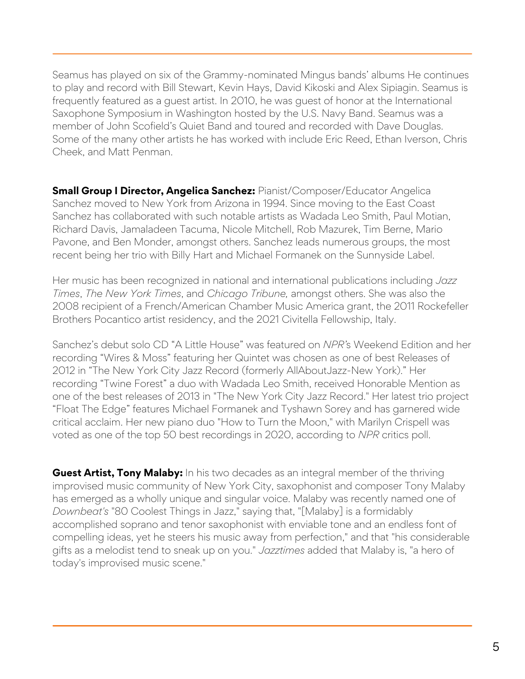Seamus has played on six of the Grammy-nominated Mingus bands' albums He continues to play and record with Bill Stewart, Kevin Hays, David Kikoski and Alex Sipiagin. Seamus is frequently featured as a guest artist. In 2010, he was guest of honor at the International Saxophone Symposium in Washington hosted by the U.S. Navy Band. Seamus was a member of John Scofield's Quiet Band and toured and recorded with Dave Douglas. Some of the many other artists he has worked with include Eric Reed, Ethan Iverson, Chris Cheek, and Matt Penman.

**Small Group I Director, Angelica Sanchez:** Pianist/Composer/Educator Angelica Sanchez moved to New York from Arizona in 1994. Since moving to the East Coast Sanchez has collaborated with such notable artists as Wadada Leo Smith, Paul Motian, Richard Davis, Jamaladeen Tacuma, Nicole Mitchell, Rob Mazurek, Tim Berne, Mario Pavone, and Ben Monder, amongst others. Sanchez leads numerous groups, the most recent being her trio with Billy Hart and Michael Formanek on the Sunnyside Label.

Her music has been recognized in national and international publications including *Jazz Times*, *The New York Times*, and *Chicago Tribune,* amongst others. She was also the 2008 recipient of a French/American Chamber Music America grant, the 2011 Rockefeller Brothers Pocantico artist residency, and the 2021 Civitella Fellowship, Italy.

Sanchez's debut solo CD "A Little House" was featured on *NPR'*s Weekend Edition and her recording "Wires & Moss" featuring her Quintet was chosen as one of best Releases of 2012 in "The New York City Jazz Record (formerly AllAboutJazz-New York)." Her recording "Twine Forest" a duo with Wadada Leo Smith, received Honorable Mention as one of the best releases of 2013 in "The New York City Jazz Record." Her latest trio project "Float The Edge" features Michael Formanek and Tyshawn Sorey and has garnered wide critical acclaim. Her new piano duo "How to Turn the Moon," with Marilyn Crispell was voted as one of the top 50 best recordings in 2020, according to *NPR* critics poll.

**Guest Artist, Tony Malaby:** In his two decades as an integral member of the thriving improvised music community of New York City, saxophonist and composer Tony Malaby has emerged as a wholly unique and singular voice. Malaby was recently named one of *Downbeat's* "80 Coolest Things in Jazz," saying that, "[Malaby] is a formidably accomplished soprano and tenor saxophonist with enviable tone and an endless font of compelling ideas, yet he steers his music away from perfection," and that "his considerable gifts as a melodist tend to sneak up on you." *Jazztimes* added that Malaby is, "a hero of today's improvised music scene."